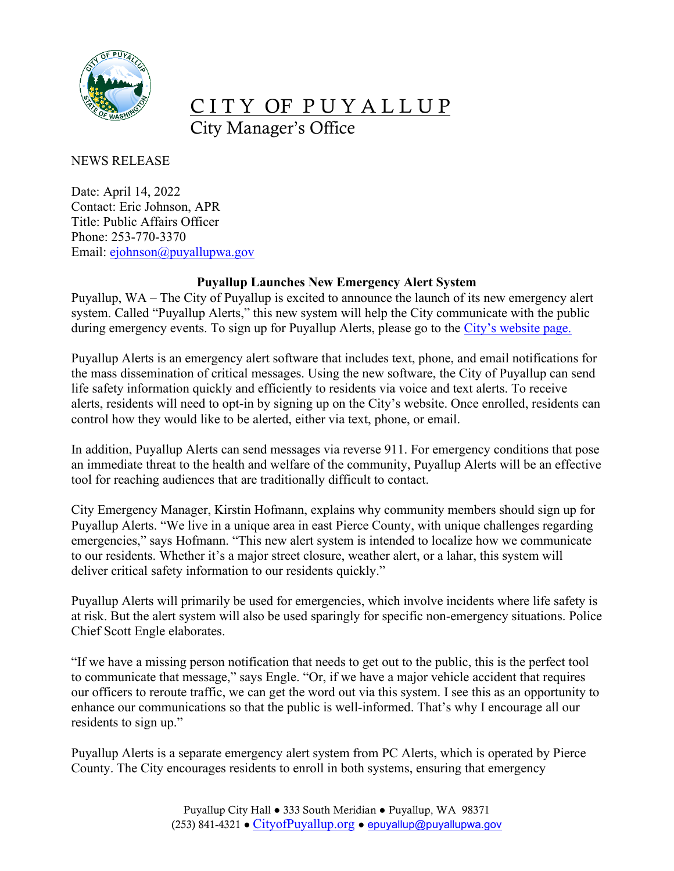

## CITY OF PUYALLUP City Manager's Office

NEWS RELEASE

Date: April 14, 2022 Contact: Eric Johnson, APR Title: Public Affairs Officer Phone: 253-770-3370 Email: [ejohnson@puyallupwa.gov](mailto:ejohnson@puyallupwa.gov)

## **Puyallup Launches New Emergency Alert System**

Puyallup, WA – The City of Puyallup is excited to announce the launch of its new emergency alert system. Called "Puyallup Alerts," this new system will help the City communicate with the public during emergency events. To sign up for Puyallup Alerts, please go to the [City's website page.](https://www.cityofpuyallup.org/2058/Puyallup-Alerts)

Puyallup Alerts is an emergency alert software that includes text, phone, and email notifications for the mass dissemination of critical messages. Using the new software, the City of Puyallup can send life safety information quickly and efficiently to residents via voice and text alerts. To receive alerts, residents will need to opt-in by signing up on the City's website. Once enrolled, residents can control how they would like to be alerted, either via text, phone, or email.

In addition, Puyallup Alerts can send messages via reverse 911. For emergency conditions that pose an immediate threat to the health and welfare of the community, Puyallup Alerts will be an effective tool for reaching audiences that are traditionally difficult to contact.

City Emergency Manager, Kirstin Hofmann, explains why community members should sign up for Puyallup Alerts. "We live in a unique area in east Pierce County, with unique challenges regarding emergencies," says Hofmann. "This new alert system is intended to localize how we communicate to our residents. Whether it's a major street closure, weather alert, or a lahar, this system will deliver critical safety information to our residents quickly."

Puyallup Alerts will primarily be used for emergencies, which involve incidents where life safety is at risk. But the alert system will also be used sparingly for specific non-emergency situations. Police Chief Scott Engle elaborates.

"If we have a missing person notification that needs to get out to the public, this is the perfect tool to communicate that message," says Engle. "Or, if we have a major vehicle accident that requires our officers to reroute traffic, we can get the word out via this system. I see this as an opportunity to enhance our communications so that the public is well-informed. That's why I encourage all our residents to sign up."

Puyallup Alerts is a separate emergency alert system from PC Alerts, which is operated by Pierce County. The City encourages residents to enroll in both systems, ensuring that emergency